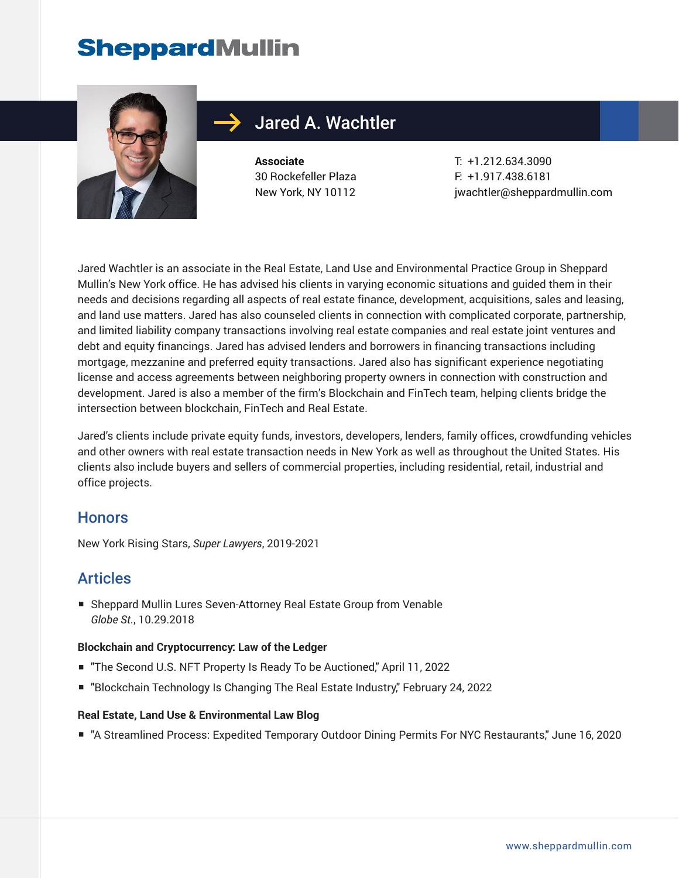# **SheppardMullin**



## Jared A. Wachtler

**Associate** 30 Rockefeller Plaza New York, NY 10112

T: +1.212.634.3090 F: +1.917.438.6181 jwachtler@sheppardmullin.com

Jared Wachtler is an associate in the Real Estate, Land Use and Environmental Practice Group in Sheppard Mullin's New York office. He has advised his clients in varying economic situations and guided them in their needs and decisions regarding all aspects of real estate finance, development, acquisitions, sales and leasing, and land use matters. Jared has also counseled clients in connection with complicated corporate, partnership, and limited liability company transactions involving real estate companies and real estate joint ventures and debt and equity financings. Jared has advised lenders and borrowers in financing transactions including mortgage, mezzanine and preferred equity transactions. Jared also has significant experience negotiating license and access agreements between neighboring property owners in connection with construction and development. Jared is also a member of the firm's Blockchain and FinTech team, helping clients bridge the intersection between blockchain, FinTech and Real Estate.

Jared's clients include private equity funds, investors, developers, lenders, family offices, crowdfunding vehicles and other owners with real estate transaction needs in New York as well as throughout the United States. His clients also include buyers and sellers of commercial properties, including residential, retail, industrial and office projects.

#### **Honors**

New York Rising Stars, *Super Lawyers*, 2019-2021

### Articles

■ Sheppard Mullin Lures Seven-Attorney Real Estate Group from Venable *Globe St.*, 10.29.2018

#### **Blockchain and Cryptocurrency: Law of the Ledger**

- "The Second U.S. NFT Property Is Ready To be Auctioned," April 11, 2022
- "Blockchain Technology Is Changing The Real Estate Industry," February 24, 2022

#### **Real Estate, Land Use & Environmental Law Blog**

■ "A Streamlined Process: Expedited Temporary Outdoor Dining Permits For NYC Restaurants," June 16, 2020